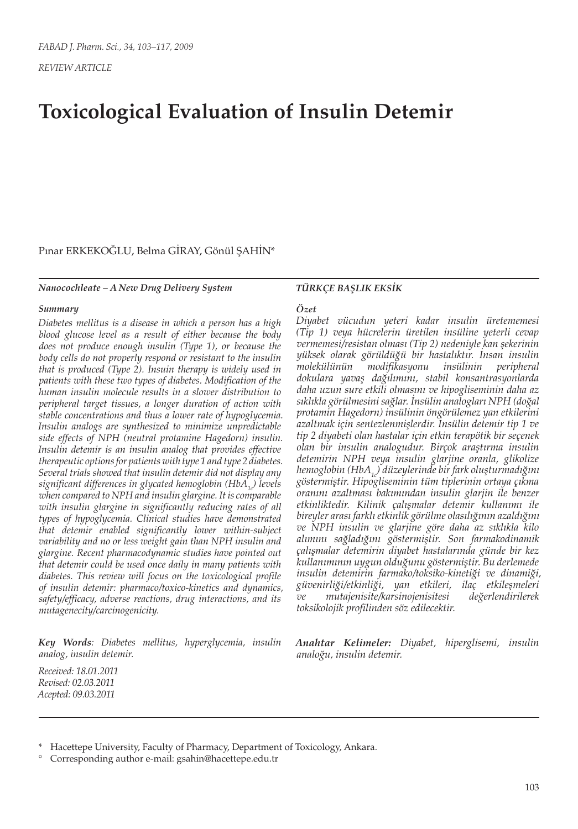*REVIEW ARTICLE*

# **Toxicological Evaluation of Insulin Detemir**

Pınar ERKEKOĞLU, Belma GİRAY, Gönül ŞAHİN\*

#### *Nanocochleate – A New Drug Delivery System*

#### *Summary*

*Diabetes mellitus is a disease in which a person has a high blood glucose level as a result of either because the body does not produce enough insulin (Type 1), or because the body cells do not properly respond or resistant to the insulin that is produced (Type 2). Insuin therapy is widely used in patients with these two types of diabetes. Modification of the human insulin molecule results in a slower distribution to peripheral target tissues, a longer duration of action with stable concentrations and thus a lower rate of hypoglycemia. Insulin analogs are synthesized to minimize unpredictable side effects of NPH (neutral protamine Hagedorn) insulin. Insulin detemir is an insulin analog that provides effective therapeutic options for patients with type 1 and type 2 diabetes. Several trials showed that insulin detemir did not display any*  significant differences in glycated hemoglobin (HbA<sub>1</sub>) levels *when compared to NPH and insulin glargine. It is comparable with insulin glargine in significantly reducing rates of all types of hypoglycemia. Clinical studies have demonstrated that detemir enabled significantly lower within-subject variability and no or less weight gain than NPH insulin and glargine. Recent pharmacodynamic studies have pointed out that detemir could be used once daily in many patients with diabetes. This review will focus on the toxicological profile of insulin detemir: pharmaco/toxico-kinetics and dynamics, safety/efficacy, adverse reactions, drug interactions, and its mutagenecity/carcinogenicity.*

*Key Words: Diabetes mellitus, hyperglycemia, insulin analog, insulin detemir.*

#### *TÜRKÇE BAŞLIK EKSİK*

#### *Özet*

*Diyabet vücudun yeteri kadar insulin üretememesi (Tip 1) veya hücrelerin üretilen insüline yeterli cevap vermemesi/resistan olması (Tip 2) nedeniyle kan şekerinin yüksek olarak görüldüğü bir hastalıktır. İnsan insulin molekülünün modifikasyonu insülinin peripheral dokulara yavaş dağılımını, stabil konsantrasyonlarda daha uzun sure etkili olmasını ve hipogliseminin daha az sıklıkla görülmesini sağlar. İnsülin analogları NPH (doğal protamin Hagedorn) insülinin öngörülemez yan etkilerini azaltmak için sentezlenmişlerdir. İnsülin detemir tip 1 ve tip 2 diyabeti olan hastalar için etkin terapötik bir seçenek olan bir insulin analogudur. Birçok araştırma insulin detemirin NPH veya insulin glarjine oranla, glikolize hemoglobin (HbA1c) düzeylerinde bir fark oluşturmadığını göstermiştir. Hipogliseminin tüm tiplerinin ortaya çıkma oranını azaltması bakımından insulin glarjin ile benzer etkinliktedir. Kilinik çalışmalar detemir kullanımı ile bireyler arası farklı etkinlik görülme olasılığının azaldığını ve NPH insulin ve glarjine göre daha az sıklıkla kilo alımını sağladığını göstermiştir. Son farmakodinamik çalışmalar detemirin diyabet hastalarında günde bir kez kullanımının uygun olduğunu göstermiştir. Bu derlemede insulin detemirin farmako/toksiko-kinetiği ve dinamiği, güvenirliği/etkinliği, yan etkileri, ilaç etkileşmeleri ve mutajenisite/karsinojenisitesi değerlendirilerek toksikolojik profilinden söz edilecektir.*

*Anahtar Kelimeler: Diyabet, hiperglisemi, insulin analoğu, insulin detemir.*

*Received: 18.01.2011 Revised: 02.03.2011 Acepted: 09.03.2011*

Hacettepe University, Faculty of Pharmacy, Department of Toxicology, Ankara.

<sup>°</sup> Corresponding author e-mail: gsahin@hacettepe.edu.tr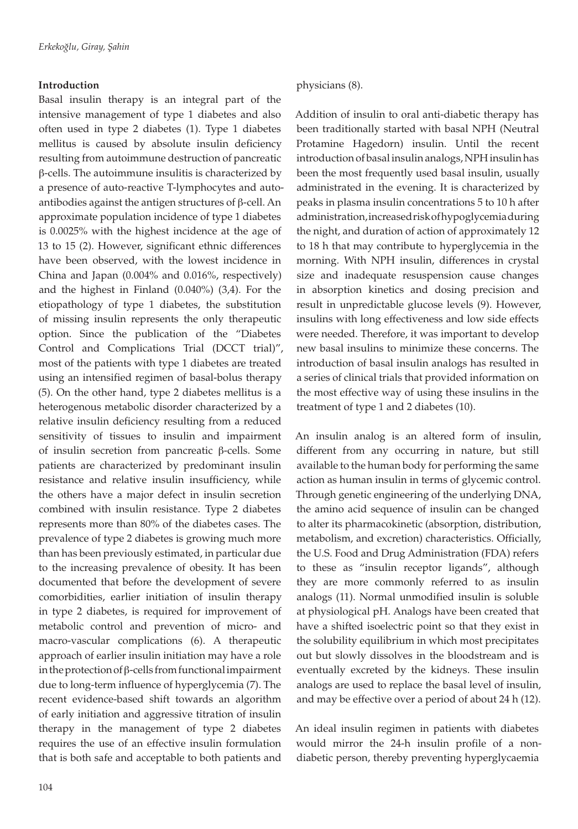## **Introduction**

Basal insulin therapy is an integral part of the intensive management of type 1 diabetes and also often used in type 2 diabetes (1). Type 1 diabetes mellitus is caused by absolute insulin deficiency resulting from autoimmune destruction of pancreatic β-cells. The autoimmune insulitis is characterized by a presence of auto-reactive T-lymphocytes and autoantibodies against the antigen structures of β-cell. An approximate population incidence of type 1 diabetes is 0.0025% with the highest incidence at the age of 13 to 15 (2). However, significant ethnic differences have been observed, with the lowest incidence in China and Japan (0.004% and 0.016%, respectively) and the highest in Finland (0.040%) (3,4). For the etiopathology of type 1 diabetes, the substitution of missing insulin represents the only therapeutic option. Since the publication of the "Diabetes Control and Complications Trial (DCCT trial)", most of the patients with type 1 diabetes are treated using an intensified regimen of basal-bolus therapy (5). On the other hand, type 2 diabetes mellitus is a heterogenous metabolic disorder characterized by a relative insulin deficiency resulting from a reduced sensitivity of tissues to insulin and impairment of insulin secretion from pancreatic β-cells. Some patients are characterized by predominant insulin resistance and relative insulin insufficiency, while the others have a major defect in insulin secretion combined with insulin resistance. Type 2 diabetes represents more than 80% of the diabetes cases. The prevalence of type 2 diabetes is growing much more than has been previously estimated, in particular due to the increasing prevalence of obesity. It has been documented that before the development of severe comorbidities, earlier initiation of insulin therapy in type 2 diabetes, is required for improvement of metabolic control and prevention of micro- and macro-vascular complications (6). A therapeutic approach of earlier insulin initiation may have a role in the protection of β-cells from functional impairment due to long-term influence of hyperglycemia (7). The recent evidence-based shift towards an algorithm of early initiation and aggressive titration of insulin therapy in the management of type 2 diabetes requires the use of an effective insulin formulation that is both safe and acceptable to both patients and

physicians (8).

Addition of insulin to oral anti-diabetic therapy has been traditionally started with basal NPH (Neutral Protamine Hagedorn) insulin. Until the recent introduction of basal insulin analogs, NPH insulin has been the most frequently used basal insulin, usually administrated in the evening. It is characterized by peaks in plasma insulin concentrations 5 to 10 h after administration, increased risk of hypoglycemia during the night, and duration of action of approximately 12 to 18 h that may contribute to hyperglycemia in the morning. With NPH insulin, differences in crystal size and inadequate resuspension cause changes in absorption kinetics and dosing precision and result in unpredictable glucose levels (9). However, insulins with long effectiveness and low side effects were needed. Therefore, it was important to develop new basal insulins to minimize these concerns. The introduction of basal insulin analogs has resulted in a series of clinical trials that provided information on the most effective way of using these insulins in the treatment of type 1 and 2 diabetes (10).

An insulin analog is an altered form of insulin, different from any occurring in nature, but still available to the human body for performing the same action as human insulin in terms of glycemic control. Through genetic engineering of the underlying DNA, the amino acid sequence of insulin can be changed to alter its pharmacokinetic (absorption, distribution, metabolism, and excretion) characteristics. Officially, the U.S. Food and Drug Administration (FDA) refers to these as "insulin receptor ligands", although they are more commonly referred to as insulin analogs (11). Normal unmodified insulin is soluble at physiological pH. Analogs have been created that have a shifted isoelectric point so that they exist in the solubility equilibrium in which most precipitates out but slowly dissolves in the bloodstream and is eventually excreted by the kidneys. These insulin analogs are used to replace the basal level of insulin, and may be effective over a period of about 24 h (12).

An ideal insulin regimen in patients with diabetes would mirror the 24-h insulin profile of a nondiabetic person, thereby preventing hyperglycaemia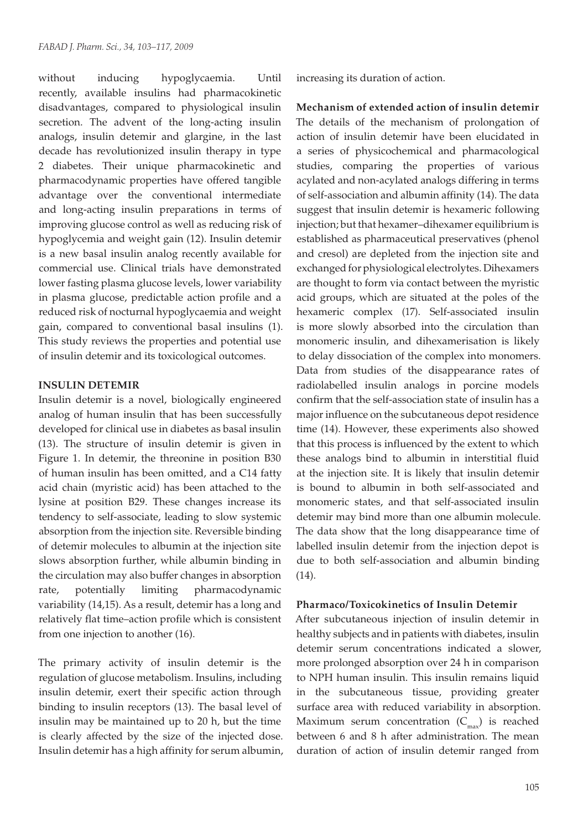without inducing hypoglycaemia. Until recently, available insulins had pharmacokinetic disadvantages, compared to physiological insulin secretion. The advent of the long-acting insulin analogs, insulin detemir and glargine, in the last decade has revolutionized insulin therapy in type 2 diabetes. Their unique pharmacokinetic and pharmacodynamic properties have offered tangible advantage over the conventional intermediate and long-acting insulin preparations in terms of improving glucose control as well as reducing risk of hypoglycemia and weight gain (12). Insulin detemir is a new basal insulin analog recently available for commercial use. Clinical trials have demonstrated lower fasting plasma glucose levels, lower variability in plasma glucose, predictable action profile and a reduced risk of nocturnal hypoglycaemia and weight gain, compared to conventional basal insulins (1). This study reviews the properties and potential use of insulin detemir and its toxicological outcomes.

## **INSULIN DETEMIR**

Insulin detemir is a novel, biologically engineered analog of human insulin that has been successfully developed for clinical use in diabetes as basal insulin (13). The structure of insulin detemir is given in Figure 1. In detemir, the threonine in position B30 of human insulin has been omitted, and a C14 fatty acid chain (myristic acid) has been attached to the lysine at position B29. These changes increase its tendency to self-associate, leading to slow systemic absorption from the injection site. Reversible binding of detemir molecules to albumin at the injection site slows absorption further, while albumin binding in the circulation may also buffer changes in absorption rate, potentially limiting pharmacodynamic variability (14,15). As a result, detemir has a long and relatively flat time–action profile which is consistent from one injection to another (16).

The primary activity of insulin detemir is the regulation of glucose metabolism. Insulins, including insulin detemir, exert their specific action through binding to insulin receptors (13). The basal level of insulin may be maintained up to 20 h, but the time is clearly affected by the size of the injected dose. Insulin detemir has a high affinity for serum albumin, increasing its duration of action.

**Mechanism of extended action of insulin detemir**  The details of the mechanism of prolongation of action of insulin detemir have been elucidated in a series of physicochemical and pharmacological studies, comparing the properties of various acylated and non-acylated analogs differing in terms of self-association and albumin affinity (14). The data suggest that insulin detemir is hexameric following injection; but that hexamer–dihexamer equilibrium is established as pharmaceutical preservatives (phenol and cresol) are depleted from the injection site and exchanged for physiological electrolytes. Dihexamers are thought to form via contact between the myristic acid groups, which are situated at the poles of the hexameric complex (17). Self-associated insulin is more slowly absorbed into the circulation than monomeric insulin, and dihexamerisation is likely to delay dissociation of the complex into monomers. Data from studies of the disappearance rates of radiolabelled insulin analogs in porcine models confirm that the self-association state of insulin has a major influence on the subcutaneous depot residence time (14). However, these experiments also showed that this process is influenced by the extent to which these analogs bind to albumin in interstitial fluid at the injection site. It is likely that insulin detemir is bound to albumin in both self-associated and monomeric states, and that self-associated insulin detemir may bind more than one albumin molecule. The data show that the long disappearance time of labelled insulin detemir from the injection depot is due to both self-association and albumin binding (14).

## **Pharmaco/Toxicokinetics of Insulin Detemir**

After subcutaneous injection of insulin detemir in healthy subjects and in patients with diabetes, insulin detemir serum concentrations indicated a slower, more prolonged absorption over 24 h in comparison to NPH human insulin. This insulin remains liquid in the subcutaneous tissue, providing greater surface area with reduced variability in absorption. Maximum serum concentration  $(C_{\text{max}})$  is reached between 6 and 8 h after administration. The mean duration of action of insulin detemir ranged from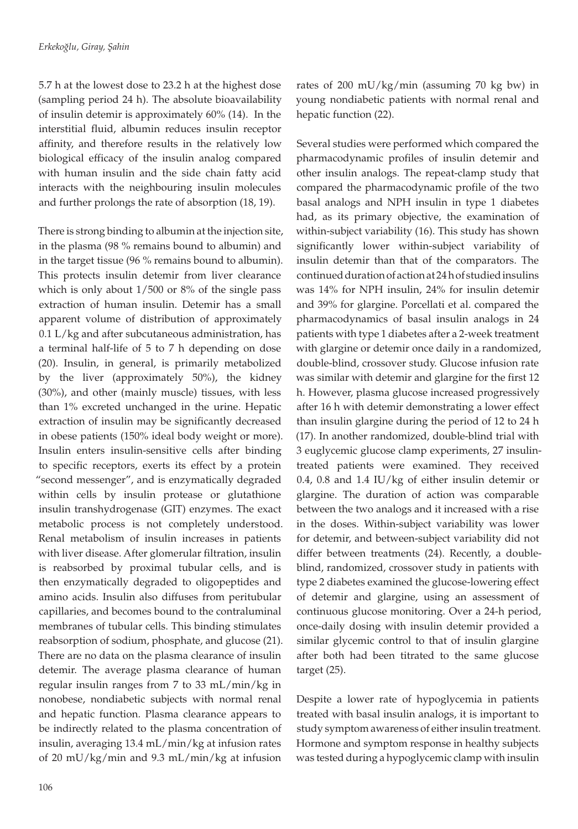5.7 h at the lowest dose to 23.2 h at the highest dose (sampling period 24 h). The absolute bioavailability of insulin detemir is approximately 60% (14). In the interstitial fluid, albumin reduces insulin receptor affinity, and therefore results in the relatively low biological efficacy of the insulin analog compared with human insulin and the side chain fatty acid interacts with the neighbouring insulin molecules and further prolongs the rate of absorption (18, 19).

There is strong binding to albumin at the injection site, in the plasma (98 % remains bound to albumin) and in the target tissue (96 % remains bound to albumin). This protects insulin detemir from liver clearance which is only about 1/500 or 8% of the single pass extraction of human insulin. Detemir has a small apparent volume of distribution of approximately 0.1 L/kg and after subcutaneous administration, has a terminal half-life of 5 to 7 h depending on dose (20). Insulin, in general, is primarily metabolized by the liver (approximately 50%), the kidney (30%), and other (mainly muscle) tissues, with less than 1% excreted unchanged in the urine. Hepatic extraction of insulin may be significantly decreased in obese patients (150% ideal body weight or more). Insulin enters insulin-sensitive cells after binding to specific receptors, exerts its effect by a protein "second messenger", and is enzymatically degraded within cells by insulin protease or glutathione insulin transhydrogenase (GIT) enzymes. The exact metabolic process is not completely understood. Renal metabolism of insulin increases in patients with liver disease. After glomerular filtration, insulin is reabsorbed by proximal tubular cells, and is then enzymatically degraded to oligopeptides and amino acids. Insulin also diffuses from peritubular capillaries, and becomes bound to the contraluminal membranes of tubular cells. This binding stimulates reabsorption of sodium, phosphate, and glucose (21). There are no data on the plasma clearance of insulin detemir. The average plasma clearance of human regular insulin ranges from 7 to 33 mL/min/kg in nonobese, nondiabetic subjects with normal renal and hepatic function. Plasma clearance appears to be indirectly related to the plasma concentration of insulin, averaging 13.4 mL/min/kg at infusion rates of 20 mU/kg/min and 9.3 mL/min/kg at infusion

rates of 200 mU/kg/min (assuming 70 kg bw) in young nondiabetic patients with normal renal and hepatic function (22).

Several studies were performed which compared the pharmacodynamic profiles of insulin detemir and other insulin analogs. The repeat-clamp study that compared the pharmacodynamic profile of the two basal analogs and NPH insulin in type 1 diabetes had, as its primary objective, the examination of within-subject variability (16). This study has shown significantly lower within-subject variability of insulin detemir than that of the comparators. The continued duration of action at 24 h of studied insulins was 14% for NPH insulin, 24% for insulin detemir and 39% for glargine. Porcellati et al. compared the pharmacodynamics of basal insulin analogs in 24 patients with type 1 diabetes after a 2-week treatment with glargine or detemir once daily in a randomized, double-blind, crossover study. Glucose infusion rate was similar with detemir and glargine for the first 12 h. However, plasma glucose increased progressively after 16 h with detemir demonstrating a lower effect than insulin glargine during the period of 12 to 24 h (17). In another randomized, double-blind trial with 3 euglycemic glucose clamp experiments, 27 insulintreated patients were examined. They received 0.4, 0.8 and 1.4 IU/kg of either insulin detemir or glargine. The duration of action was comparable between the two analogs and it increased with a rise in the doses. Within-subject variability was lower for detemir, and between-subject variability did not differ between treatments (24). Recently, a doubleblind, randomized, crossover study in patients with type 2 diabetes examined the glucose-lowering effect of detemir and glargine, using an assessment of continuous glucose monitoring. Over a 24-h period, once-daily dosing with insulin detemir provided a similar glycemic control to that of insulin glargine after both had been titrated to the same glucose target (25).

Despite a lower rate of hypoglycemia in patients treated with basal insulin analogs, it is important to study symptom awareness of either insulin treatment. Hormone and symptom response in healthy subjects was tested during a hypoglycemic clamp with insulin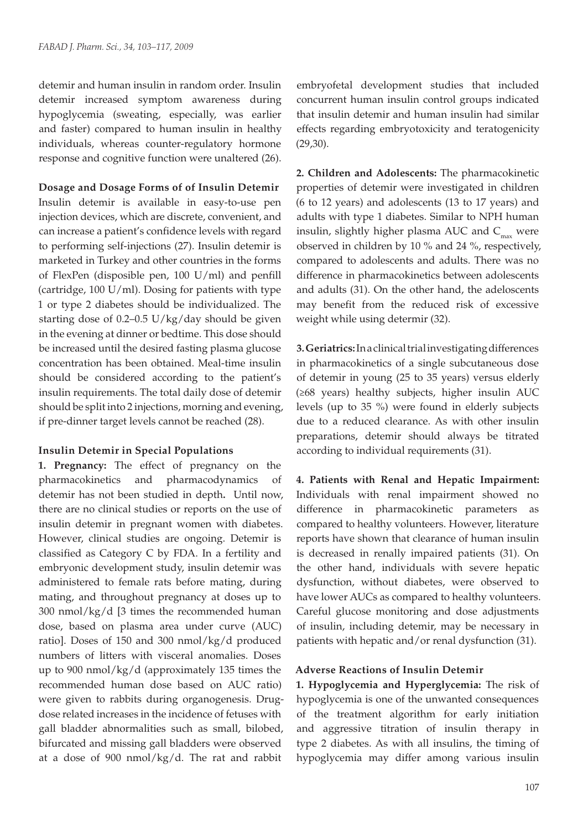detemir and human insulin in random order. Insulin detemir increased symptom awareness during hypoglycemia (sweating, especially, was earlier and faster) compared to human insulin in healthy individuals, whereas counter-regulatory hormone response and cognitive function were unaltered (26).

**Dosage and Dosage Forms of of Insulin Detemir** Insulin detemir is available in easy-to-use pen injection devices, which are discrete, convenient, and can increase a patient's confidence levels with regard to performing self-injections (27). Insulin detemir is marketed in Turkey and other countries in the forms of FlexPen (disposible pen, 100 U/ml) and penfill (cartridge, 100 U/ml). Dosing for patients with type 1 or type 2 diabetes should be individualized. The starting dose of 0.2–0.5 U/kg/day should be given in the evening at dinner or bedtime. This dose should be increased until the desired fasting plasma glucose concentration has been obtained. Meal-time insulin should be considered according to the patient's insulin requirements. The total daily dose of detemir should be split into 2 injections, morning and evening, if pre-dinner target levels cannot be reached (28).

## **Insulin Detemir in Special Populations**

**1. Pregnancy:** The effect of pregnancy on the pharmacokinetics and pharmacodynamics of detemir has not been studied in depth**.** Until now, there are no clinical studies or reports on the use of insulin detemir in pregnant women with diabetes. However, clinical studies are ongoing. Detemir is classified as Category C by FDA. In a fertility and embryonic development study, insulin detemir was administered to female rats before mating, during mating, and throughout pregnancy at doses up to 300 nmol/kg/d [3 times the recommended human dose, based on plasma area under curve (AUC) ratio]. Doses of 150 and 300 nmol/kg/d produced numbers of litters with visceral anomalies. Doses up to 900 nmol/kg/d (approximately 135 times the recommended human dose based on AUC ratio) were given to rabbits during organogenesis. Drugdose related increases in the incidence of fetuses with gall bladder abnormalities such as small, bilobed, bifurcated and missing gall bladders were observed at a dose of 900 nmol/kg/d. The rat and rabbit

embryofetal development studies that included concurrent human insulin control groups indicated that insulin detemir and human insulin had similar effects regarding embryotoxicity and teratogenicity (29,30).

**2. Children and Adolescents:** The pharmacokinetic properties of detemir were investigated in children (6 to 12 years) and adolescents (13 to 17 years) and adults with type 1 diabetes. Similar to NPH human insulin, slightly higher plasma AUC and  $C_{\text{max}}$  were observed in children by 10 % and 24 %, respectively, compared to adolescents and adults. There was no difference in pharmacokinetics between adolescents and adults (31). On the other hand, the adeloscents may benefit from the reduced risk of excessive weight while using determir (32).

**3. Geriatrics:**In a clinical trial investigating differences in pharmacokinetics of a single subcutaneous dose of detemir in young (25 to 35 years) versus elderly (≥68 years) healthy subjects, higher insulin AUC levels (up to 35 %) were found in elderly subjects due to a reduced clearance. As with other insulin preparations, detemir should always be titrated according to individual requirements (31).

**4. Patients with Renal and Hepatic Impairment:** Individuals with renal impairment showed no difference in pharmacokinetic parameters as compared to healthy volunteers. However, literature reports have shown that clearance of human insulin is decreased in renally impaired patients (31). On the other hand, individuals with severe hepatic dysfunction, without diabetes, were observed to have lower AUCs as compared to healthy volunteers. Careful glucose monitoring and dose adjustments of insulin, including detemir, may be necessary in patients with hepatic and/or renal dysfunction (31).

## **Adverse Reactions of Insulin Detemir**

**1. Hypoglycemia and Hyperglycemia:** The risk of hypoglycemia is one of the unwanted consequences of the treatment algorithm for early initiation and aggressive titration of insulin therapy in type 2 diabetes. As with all insulins, the timing of hypoglycemia may differ among various insulin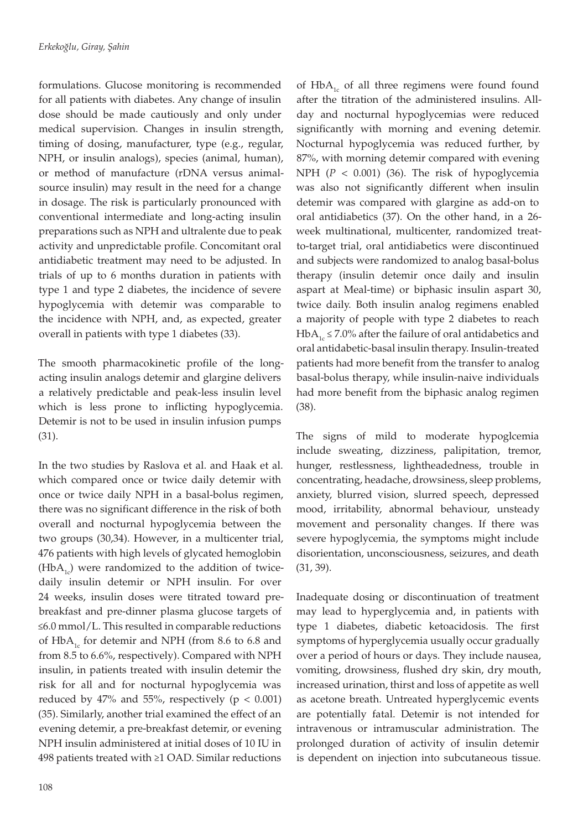formulations. Glucose monitoring is recommended for all patients with diabetes. Any change of insulin dose should be made cautiously and only under medical supervision. Changes in insulin strength, timing of dosing, manufacturer, type (e.g., regular, NPH, or insulin analogs), species (animal, human), or method of manufacture (rDNA versus animalsource insulin) may result in the need for a change in dosage. The risk is particularly pronounced with conventional intermediate and long-acting insulin preparations such as NPH and ultralente due to peak activity and unpredictable profile. Concomitant oral antidiabetic treatment may need to be adjusted. In trials of up to 6 months duration in patients with type 1 and type 2 diabetes, the incidence of severe hypoglycemia with detemir was comparable to the incidence with NPH, and, as expected, greater overall in patients with type 1 diabetes (33).

The smooth pharmacokinetic profile of the longacting insulin analogs detemir and glargine delivers a relatively predictable and peak-less insulin level which is less prone to inflicting hypoglycemia. Detemir is not to be used in insulin infusion pumps (31).

In the two studies by Raslova et al. and Haak et al. which compared once or twice daily detemir with once or twice daily NPH in a basal-bolus regimen, there was no significant difference in the risk of both overall and nocturnal hypoglycemia between the two groups (30,34). However, in a multicenter trial, 476 patients with high levels of glycated hemoglobin  $(HbA<sub>1c</sub>)$  were randomized to the addition of twicedaily insulin detemir or NPH insulin. For over 24 weeks, insulin doses were titrated toward prebreakfast and pre-dinner plasma glucose targets of ≤6.0 mmol/L. This resulted in comparable reductions of  $HbA<sub>1c</sub>$  for detemir and NPH (from 8.6 to 6.8 and from 8.5 to 6.6%, respectively). Compared with NPH insulin, in patients treated with insulin detemir the risk for all and for nocturnal hypoglycemia was reduced by 47% and 55%, respectively ( $p < 0.001$ ) (35). Similarly, another trial examined the effect of an evening detemir, a pre-breakfast detemir, or evening NPH insulin administered at initial doses of 10 IU in 498 patients treated with ≥1 OAD. Similar reductions

of  $HbA<sub>1c</sub>$  of all three regimens were found found after the titration of the administered insulins. Allday and nocturnal hypoglycemias were reduced significantly with morning and evening detemir. Nocturnal hypoglycemia was reduced further, by 87%, with morning detemir compared with evening NPH (*P* < 0.001) (36). The risk of hypoglycemia was also not significantly different when insulin detemir was compared with glargine as add-on to oral antidiabetics (37). On the other hand, in a 26 week multinational, multicenter, randomized treatto-target trial, oral antidiabetics were discontinued and subjects were randomized to analog basal-bolus therapy (insulin detemir once daily and insulin aspart at Meal-time) or biphasic insulin aspart 30, twice daily. Both insulin analog regimens enabled a majority of people with type 2 diabetes to reach HbA<sub>1c</sub> ≤ 7.0% after the failure of oral antidabetics and oral antidabetic-basal insulin therapy. Insulin-treated patients had more benefit from the transfer to analog basal-bolus therapy, while insulin-naive individuals had more benefit from the biphasic analog regimen (38).

The signs of mild to moderate hypoglcemia include sweating, dizziness, palipitation, tremor, hunger, restlessness, lightheadedness, trouble in concentrating, headache, drowsiness, sleep problems, anxiety, blurred vision, slurred speech, depressed mood, irritability, abnormal behaviour, unsteady movement and personality changes. If there was severe hypoglycemia, the symptoms might include disorientation, unconsciousness, seizures, and death (31, 39).

Inadequate dosing or discontinuation of treatment may lead to hyperglycemia and, in patients with type 1 diabetes, diabetic ketoacidosis. The first symptoms of hyperglycemia usually occur gradually over a period of hours or days. They include nausea, vomiting, drowsiness, flushed dry skin, dry mouth, increased urination, thirst and loss of appetite as well as acetone breath. Untreated hyperglycemic events are potentially fatal. Detemir is not intended for intravenous or intramuscular administration. The prolonged duration of activity of insulin detemir is dependent on injection into subcutaneous tissue.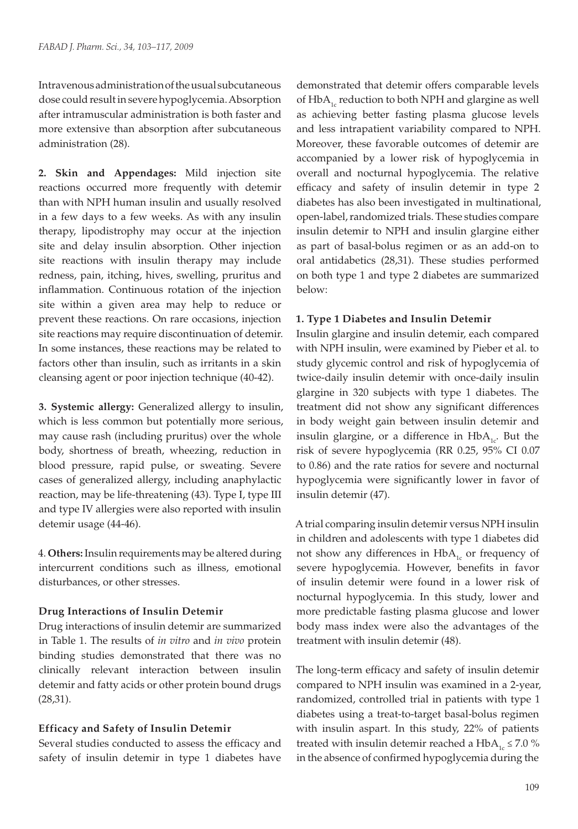Intravenous administration of the usual subcutaneous dose could result in severe hypoglycemia. Absorption after intramuscular administration is both faster and more extensive than absorption after subcutaneous administration (28).

**2. Skin and Appendages:** Mild injection site reactions occurred more frequently with detemir than with NPH human insulin and usually resolved in a few days to a few weeks. As with any insulin therapy, lipodistrophy may occur at the injection site and delay insulin absorption. Other injection site reactions with insulin therapy may include redness, pain, itching, hives, swelling, pruritus and inflammation. Continuous rotation of the injection site within a given area may help to reduce or prevent these reactions. On rare occasions, injection site reactions may require discontinuation of detemir. In some instances, these reactions may be related to factors other than insulin, such as irritants in a skin cleansing agent or poor injection technique (40-42).

**3. Systemic allergy:** Generalized allergy to insulin, which is less common but potentially more serious, may cause rash (including pruritus) over the whole body, shortness of breath, wheezing, reduction in blood pressure, rapid pulse, or sweating. Severe cases of generalized allergy, including anaphylactic reaction, may be life-threatening (43). Type I, type III and type IV allergies were also reported with insulin detemir usage (44-46).

4. **Others:** Insulin requirements may be altered during intercurrent conditions such as illness, emotional disturbances, or other stresses.

# **Drug Interactions of Insulin Detemir**

Drug interactions of insulin detemir are summarized in Table 1. The results of *in vitro* and *in vivo* protein binding studies demonstrated that there was no clinically relevant interaction between insulin detemir and fatty acids or other protein bound drugs (28,31).

## **Efficacy and Safety of Insulin Detemir**

Several studies conducted to assess the efficacy and safety of insulin detemir in type 1 diabetes have demonstrated that detemir offers comparable levels of  $HbA<sub>1c</sub>$  reduction to both NPH and glargine as well as achieving better fasting plasma glucose levels and less intrapatient variability compared to NPH. Moreover, these favorable outcomes of detemir are accompanied by a lower risk of hypoglycemia in overall and nocturnal hypoglycemia. The relative efficacy and safety of insulin detemir in type 2 diabetes has also been investigated in multinational, open-label, randomized trials. These studies compare insulin detemir to NPH and insulin glargine either as part of basal-bolus regimen or as an add-on to oral antidabetics (28,31). These studies performed on both type 1 and type 2 diabetes are summarized below:

## **1. Type 1 Diabetes and Insulin Detemir**

Insulin glargine and insulin detemir, each compared with NPH insulin, were examined by Pieber et al. to study glycemic control and risk of hypoglycemia of twice-daily insulin detemir with once-daily insulin glargine in 320 subjects with type 1 diabetes. The treatment did not show any significant differences in body weight gain between insulin detemir and insulin glargine, or a difference in  $HbA_{1c}$ . But the risk of severe hypoglycemia (RR 0.25, 95% CI 0.07 to 0.86) and the rate ratios for severe and nocturnal hypoglycemia were significantly lower in favor of insulin detemir (47).

A trial comparing insulin detemir versus NPH insulin in children and adolescents with type 1 diabetes did not show any differences in  $HbA_{1c}$  or frequency of severe hypoglycemia. However, benefits in favor of insulin detemir were found in a lower risk of nocturnal hypoglycemia. In this study, lower and more predictable fasting plasma glucose and lower body mass index were also the advantages of the treatment with insulin detemir (48).

The long-term efficacy and safety of insulin detemir compared to NPH insulin was examined in a 2-year, randomized, controlled trial in patients with type 1 diabetes using a treat-to-target basal-bolus regimen with insulin aspart. In this study, 22% of patients treated with insulin detemir reached a HbA<sub>1c</sub>  $\leq$  7.0 % in the absence of confirmed hypoglycemia during the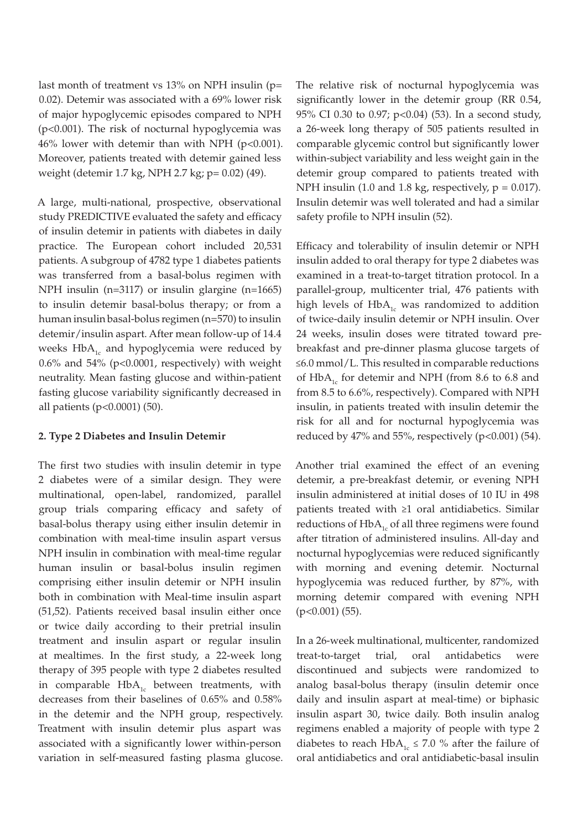last month of treatment vs 13% on NPH insulin (p= 0.02). Detemir was associated with a 69% lower risk of major hypoglycemic episodes compared to NPH (p<0.001). The risk of nocturnal hypoglycemia was 46% lower with detemir than with NPH (p<0.001). Moreover, patients treated with detemir gained less weight (detemir 1.7 kg, NPH 2.7 kg; p= 0.02) (49).

A large, multi-national, prospective, observational study PREDICTIVE evaluated the safety and efficacy of insulin detemir in patients with diabetes in daily practice. The European cohort included 20,531 patients. A subgroup of 4782 type 1 diabetes patients was transferred from a basal-bolus regimen with NPH insulin (n=3117) or insulin glargine (n=1665) to insulin detemir basal-bolus therapy; or from a human insulin basal-bolus regimen (n=570) to insulin detemir/insulin aspart. After mean follow-up of 14.4 weeks  $HbA_{1c}$  and hypoglycemia were reduced by  $0.6\%$  and  $54\%$  (p< $0.0001$ , respectively) with weight neutrality. Mean fasting glucose and within-patient fasting glucose variability significantly decreased in all patients (p<0.0001) (50).

## **2. Type 2 Diabetes and Insulin Detemir**

The first two studies with insulin detemir in type 2 diabetes were of a similar design. They were multinational, open-label, randomized, parallel group trials comparing efficacy and safety of basal-bolus therapy using either insulin detemir in combination with meal-time insulin aspart versus NPH insulin in combination with meal-time regular human insulin or basal-bolus insulin regimen comprising either insulin detemir or NPH insulin both in combination with Meal-time insulin aspart (51,52). Patients received basal insulin either once or twice daily according to their pretrial insulin treatment and insulin aspart or regular insulin at mealtimes. In the first study, a 22-week long therapy of 395 people with type 2 diabetes resulted in comparable  $HbA_{1c}$  between treatments, with decreases from their baselines of 0.65% and 0.58% in the detemir and the NPH group, respectively. Treatment with insulin detemir plus aspart was associated with a significantly lower within-person variation in self-measured fasting plasma glucose. The relative risk of nocturnal hypoglycemia was significantly lower in the detemir group (RR 0.54, 95% CI 0.30 to 0.97; p<0.04) (53). In a second study, a 26-week long therapy of 505 patients resulted in comparable glycemic control but significantly lower within-subject variability and less weight gain in the detemir group compared to patients treated with NPH insulin (1.0 and 1.8 kg, respectively,  $p = 0.017$ ). Insulin detemir was well tolerated and had a similar safety profile to NPH insulin (52).

Efficacy and tolerability of insulin detemir or NPH insulin added to oral therapy for type 2 diabetes was examined in a treat-to-target titration protocol. In a parallel-group, multicenter trial, 476 patients with high levels of  $HbA_{1c}$  was randomized to addition of twice-daily insulin detemir or NPH insulin. Over 24 weeks, insulin doses were titrated toward prebreakfast and pre-dinner plasma glucose targets of ≤6.0 mmol/L. This resulted in comparable reductions of  $HbA_{1c}$  for detemir and NPH (from 8.6 to 6.8 and from 8.5 to 6.6%, respectively). Compared with NPH insulin, in patients treated with insulin detemir the risk for all and for nocturnal hypoglycemia was reduced by 47% and 55%, respectively ( $p<0.001$ ) (54).

Another trial examined the effect of an evening detemir, a pre-breakfast detemir, or evening NPH insulin administered at initial doses of 10 IU in 498 patients treated with ≥1 oral antidiabetics. Similar reductions of  $HbA_{1c}$  of all three regimens were found after titration of administered insulins. All-day and nocturnal hypoglycemias were reduced significantly with morning and evening detemir. Nocturnal hypoglycemia was reduced further, by 87%, with morning detemir compared with evening NPH (p<0.001) (55).

In a 26-week multinational, multicenter, randomized treat-to-target trial, oral antidabetics were discontinued and subjects were randomized to analog basal-bolus therapy (insulin detemir once daily and insulin aspart at meal-time) or biphasic insulin aspart 30, twice daily. Both insulin analog regimens enabled a majority of people with type 2 diabetes to reach HbA<sub>1c</sub>  $\leq$  7.0 % after the failure of oral antidiabetics and oral antidiabetic-basal insulin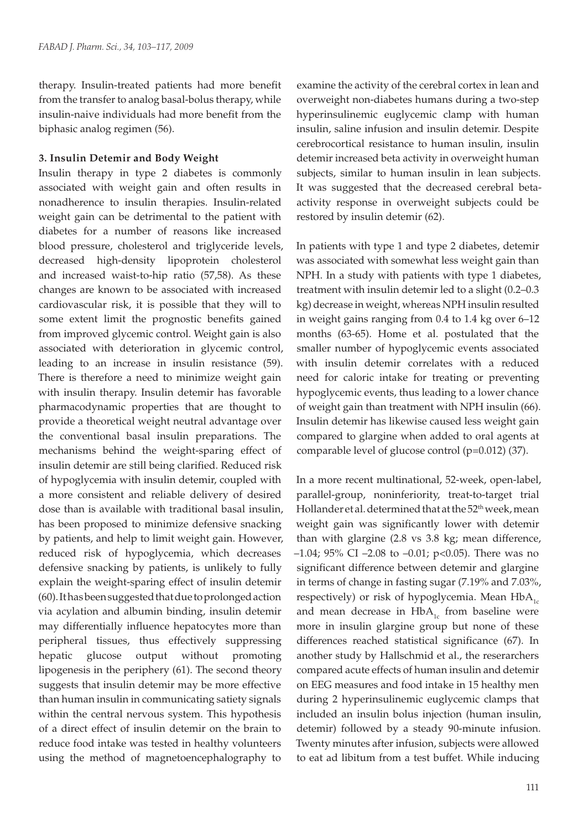therapy. Insulin-treated patients had more benefit from the transfer to analog basal-bolus therapy, while insulin-naive individuals had more benefit from the biphasic analog regimen (56).

#### **3. Insulin Detemir and Body Weight**

Insulin therapy in type 2 diabetes is commonly associated with weight gain and often results in nonadherence to insulin therapies. Insulin-related weight gain can be detrimental to the patient with diabetes for a number of reasons like increased blood pressure, cholesterol and triglyceride levels, decreased high-density lipoprotein cholesterol and increased waist-to-hip ratio (57,58). As these changes are known to be associated with increased cardiovascular risk, it is possible that they will to some extent limit the prognostic benefits gained from improved glycemic control. Weight gain is also associated with deterioration in glycemic control, leading to an increase in insulin resistance (59). There is therefore a need to minimize weight gain with insulin therapy. Insulin detemir has favorable pharmacodynamic properties that are thought to provide a theoretical weight neutral advantage over the conventional basal insulin preparations. The mechanisms behind the weight-sparing effect of insulin detemir are still being clarified. Reduced risk of hypoglycemia with insulin detemir, coupled with a more consistent and reliable delivery of desired dose than is available with traditional basal insulin, has been proposed to minimize defensive snacking by patients, and help to limit weight gain. However, reduced risk of hypoglycemia, which decreases defensive snacking by patients, is unlikely to fully explain the weight-sparing effect of insulin detemir (60). It has been suggested that due to prolonged action via acylation and albumin binding, insulin detemir may differentially influence hepatocytes more than peripheral tissues, thus effectively suppressing hepatic glucose output without promoting lipogenesis in the periphery (61). The second theory suggests that insulin detemir may be more effective than human insulin in communicating satiety signals within the central nervous system. This hypothesis of a direct effect of insulin detemir on the brain to reduce food intake was tested in healthy volunteers using the method of magnetoencephalography to

examine the activity of the cerebral cortex in lean and overweight non-diabetes humans during a two-step hyperinsulinemic euglycemic clamp with human insulin, saline infusion and insulin detemir. Despite cerebrocortical resistance to human insulin, insulin detemir increased beta activity in overweight human subjects, similar to human insulin in lean subjects. It was suggested that the decreased cerebral betaactivity response in overweight subjects could be restored by insulin detemir (62).

In patients with type 1 and type 2 diabetes, detemir was associated with somewhat less weight gain than NPH. In a study with patients with type 1 diabetes, treatment with insulin detemir led to a slight (0.2–0.3 kg) decrease in weight, whereas NPH insulin resulted in weight gains ranging from 0.4 to 1.4 kg over 6–12 months (63-65). Home et al. postulated that the smaller number of hypoglycemic events associated with insulin detemir correlates with a reduced need for caloric intake for treating or preventing hypoglycemic events, thus leading to a lower chance of weight gain than treatment with NPH insulin (66). Insulin detemir has likewise caused less weight gain compared to glargine when added to oral agents at comparable level of glucose control (p=0.012) (37).

In a more recent multinational, 52-week, open-label, parallel-group, noninferiority, treat-to-target trial Hollander et al. determined that at the 52<sup>th</sup> week, mean weight gain was significantly lower with detemir than with glargine (2.8 vs 3.8 kg; mean difference, –1.04; 95% CI –2.08 to –0.01; p*<*0.05). There was no significant difference between detemir and glargine in terms of change in fasting sugar (7.19% and 7.03%, respectively) or risk of hypoglycemia. Mean  $HbA_{1c}$ and mean decrease in  $HbA_{1c}$  from baseline were more in insulin glargine group but none of these differences reached statistical significance (67). In another study by Hallschmid et al., the reserarchers compared acute effects of human insulin and detemir on EEG measures and food intake in 15 healthy men during 2 hyperinsulinemic euglycemic clamps that included an insulin bolus injection (human insulin, detemir) followed by a steady 90-minute infusion. Twenty minutes after infusion, subjects were allowed to eat ad libitum from a test buffet. While inducing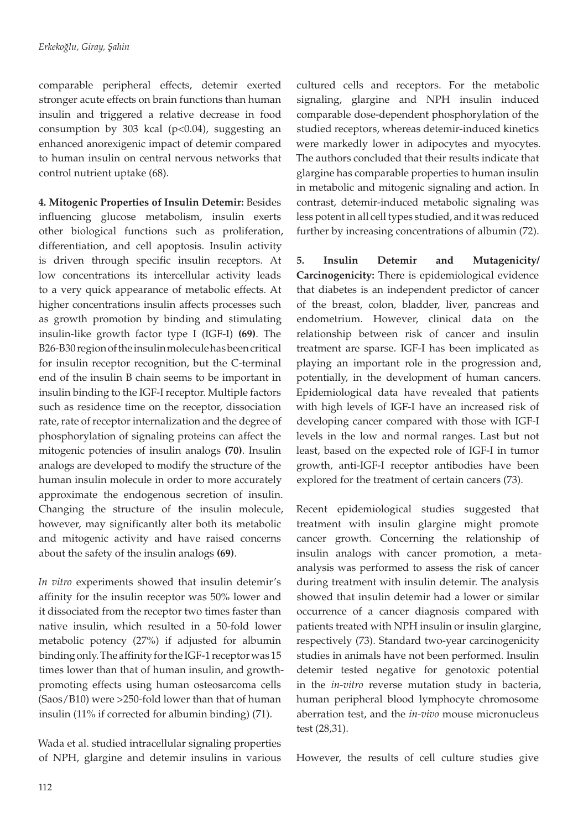comparable peripheral effects, detemir exerted stronger acute effects on brain functions than human insulin and triggered a relative decrease in food consumption by 303 kcal (p*<*0.04), suggesting an enhanced anorexigenic impact of detemir compared to human insulin on central nervous networks that control nutrient uptake (68).

**4. Mitogenic Properties of Insulin Detemir:** Besides influencing glucose metabolism, insulin exerts other biological functions such as proliferation, differentiation, and cell apoptosis. Insulin activity is driven through specific insulin receptors. At low concentrations its intercellular activity leads to a very quick appearance of metabolic effects. At higher concentrations insulin affects processes such as growth promotion by binding and stimulating insulin-like growth factor type I (IGF-I) **(69)**. The B26-B30 region of the insulin molecule has been critical for insulin receptor recognition, but the C-terminal end of the insulin B chain seems to be important in insulin binding to the IGF-I receptor. Multiple factors such as residence time on the receptor, dissociation rate, rate of receptor internalization and the degree of phosphorylation of signaling proteins can affect the mitogenic potencies of insulin analogs **(70)**. Insulin analogs are developed to modify the structure of the human insulin molecule in order to more accurately approximate the endogenous secretion of insulin. Changing the structure of the insulin molecule, however, may significantly alter both its metabolic and mitogenic activity and have raised concerns about the safety of the insulin analogs **(69)**.

*In vitro* experiments showed that insulin detemir's affinity for the insulin receptor was 50% lower and it dissociated from the receptor two times faster than native insulin, which resulted in a 50-fold lower metabolic potency (27%) if adjusted for albumin binding only. The affinity for the IGF-1 receptor was 15 times lower than that of human insulin, and growthpromoting effects using human osteosarcoma cells (Saos/B10) were >250-fold lower than that of human insulin (11% if corrected for albumin binding) (71).

Wada et al. studied intracellular signaling properties of NPH, glargine and detemir insulins in various

cultured cells and receptors. For the metabolic signaling, glargine and NPH insulin induced comparable dose-dependent phosphorylation of the studied receptors, whereas detemir-induced kinetics were markedly lower in adipocytes and myocytes. The authors concluded that their results indicate that glargine has comparable properties to human insulin in metabolic and mitogenic signaling and action. In contrast, detemir-induced metabolic signaling was less potent in all cell types studied, and it was reduced further by increasing concentrations of albumin (72).

**5. Insulin Detemir and Mutagenicity/ Carcinogenicity:** There is epidemiological evidence that diabetes is an independent predictor of cancer of the breast, colon, bladder, liver, pancreas and endometrium. However, clinical data on the relationship between risk of cancer and insulin treatment are sparse. IGF-I has been implicated as playing an important role in the progression and, potentially, in the development of human cancers. Epidemiological data have revealed that patients with high levels of IGF-I have an increased risk of developing cancer compared with those with IGF-I levels in the low and normal ranges. Last but not least, based on the expected role of IGF-I in tumor growth, anti-IGF-I receptor antibodies have been explored for the treatment of certain cancers (73).

Recent epidemiological studies suggested that treatment with insulin glargine might promote cancer growth. Concerning the relationship of insulin analogs with cancer promotion, a metaanalysis was performed to assess the risk of cancer during treatment with insulin detemir. The analysis showed that insulin detemir had a lower or similar occurrence of a cancer diagnosis compared with patients treated with NPH insulin or insulin glargine, respectively (73). Standard two-year carcinogenicity studies in animals have not been performed. Insulin detemir tested negative for genotoxic potential in the *in-vitro* reverse mutation study in bacteria, human peripheral blood lymphocyte chromosome aberration test, and the *in-vivo* mouse micronucleus test (28,31).

However, the results of cell culture studies give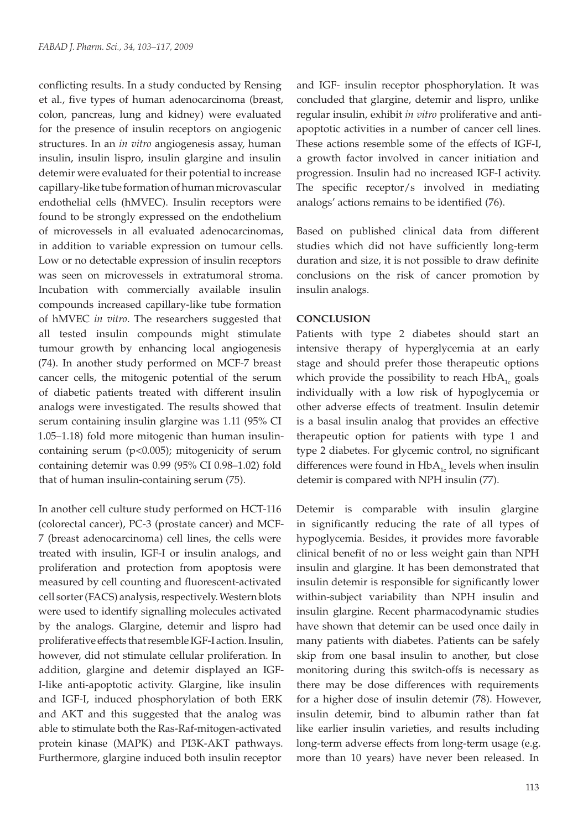conflicting results. In a study conducted by Rensing et al., five types of human adenocarcinoma (breast, colon, pancreas, lung and kidney) were evaluated for the presence of insulin receptors on angiogenic structures. In an *in vitro* angiogenesis assay, human insulin, insulin lispro, insulin glargine and insulin detemir were evaluated for their potential to increase capillary-like tube formation of human microvascular endothelial cells (hMVEC). Insulin receptors were found to be strongly expressed on the endothelium of microvessels in all evaluated adenocarcinomas, in addition to variable expression on tumour cells. Low or no detectable expression of insulin receptors was seen on microvessels in extratumoral stroma. Incubation with commercially available insulin compounds increased capillary-like tube formation of hMVEC *in vitro*. The researchers suggested that all tested insulin compounds might stimulate tumour growth by enhancing local angiogenesis (74). In another study performed on MCF-7 breast cancer cells, the mitogenic potential of the serum of diabetic patients treated with different insulin analogs were investigated. The results showed that serum containing insulin glargine was 1.11 (95% CI 1.05–1.18) fold more mitogenic than human insulincontaining serum (p<0.005); mitogenicity of serum containing detemir was 0.99 (95% CI 0.98–1.02) fold that of human insulin-containing serum (75).

In another cell culture study performed on HCT-116 (colorectal cancer), PC-3 (prostate cancer) and MCF-7 (breast adenocarcinoma) cell lines, the cells were treated with insulin, IGF-I or insulin analogs, and proliferation and protection from apoptosis were measured by cell counting and fluorescent-activated cell sorter (FACS) analysis, respectively. Western blots were used to identify signalling molecules activated by the analogs. Glargine, detemir and lispro had proliferative effects that resemble IGF-I action. Insulin, however, did not stimulate cellular proliferation. In addition, glargine and detemir displayed an IGF-I-like anti-apoptotic activity. Glargine, like insulin and IGF-I, induced phosphorylation of both ERK and AKT and this suggested that the analog was able to stimulate both the Ras-Raf-mitogen-activated protein kinase (MAPK) and PI3K-AKT pathways. Furthermore, glargine induced both insulin receptor

and IGF- insulin receptor phosphorylation. It was concluded that glargine, detemir and lispro, unlike regular insulin, exhibit *in vitro* proliferative and antiapoptotic activities in a number of cancer cell lines. These actions resemble some of the effects of IGF-I, a growth factor involved in cancer initiation and progression. Insulin had no increased IGF-I activity. The specific receptor/s involved in mediating analogs' actions remains to be identified (76).

Based on published clinical data from different studies which did not have sufficiently long-term duration and size, it is not possible to draw definite conclusions on the risk of cancer promotion by insulin analogs.

## **CONCLUSION**

Patients with type 2 diabetes should start an intensive therapy of hyperglycemia at an early stage and should prefer those therapeutic options which provide the possibility to reach  $HbA_{1c}$  goals individually with a low risk of hypoglycemia or other adverse effects of treatment. Insulin detemir is a basal insulin analog that provides an effective therapeutic option for patients with type 1 and type 2 diabetes. For glycemic control, no significant differences were found in  $HbA_1$  levels when insulin detemir is compared with NPH insulin (77).

Detemir is comparable with insulin glargine in significantly reducing the rate of all types of hypoglycemia. Besides, it provides more favorable clinical benefit of no or less weight gain than NPH insulin and glargine. It has been demonstrated that insulin detemir is responsible for significantly lower within-subject variability than NPH insulin and insulin glargine. Recent pharmacodynamic studies have shown that detemir can be used once daily in many patients with diabetes. Patients can be safely skip from one basal insulin to another, but close monitoring during this switch-offs is necessary as there may be dose differences with requirements for a higher dose of insulin detemir (78). However, insulin detemir, bind to albumin rather than fat like earlier insulin varieties, and results including long-term adverse effects from long-term usage (e.g. more than 10 years) have never been released. In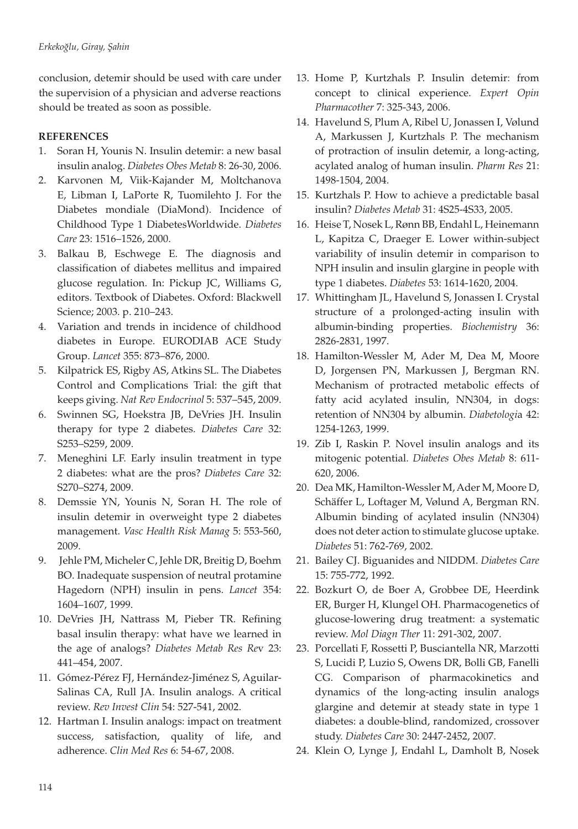conclusion, detemir should be used with care under the supervision of a physician and adverse reactions should be treated as soon as possible.

# **REFERENCES**

- 1. Soran H, Younis N. Insulin detemir: a new basal insulin analog. *Diabetes Obes Metab* 8: 26-30, 2006.
- 2. Karvonen M, Viik-Kajander M, Moltchanova E, Libman I, LaPorte R, Tuomilehto J. For the Diabetes mondiale (DiaMond). Incidence of Childhood Type 1 DiabetesWorldwide. *Diabetes Care* 23: 1516–1526, 2000.
- 3. Balkau B, Eschwege E. The diagnosis and classification of diabetes mellitus and impaired glucose regulation. In: Pickup JC, Williams G, editors. Textbook of Diabetes. Oxford: Blackwell Science; 2003. p. 210–243.
- 4. Variation and trends in incidence of childhood diabetes in Europe. EURODIAB ACE Study Group. *Lancet* 355: 873–876, 2000.
- 5. Kilpatrick ES, Rigby AS, Atkins SL. The Diabetes Control and Complications Trial: the gift that keeps giving. *Nat Rev Endocrinol* 5: 537–545, 2009.
- 6. Swinnen SG, Hoekstra JB, DeVries JH. Insulin therapy for type 2 diabetes. *Diabetes Care* 32: S253–S259, 2009.
- 7. Meneghini LF. Early insulin treatment in type 2 diabetes: what are the pros? *Diabetes Care* 32: S270–S274, 2009.
- 8. Demssie YN, Younis N, Soran H. The role of insulin detemir in overweight type 2 diabetes management. *Vasc Health Risk Manag* 5: 553-560, 2009.
- 9. Jehle PM, Micheler C, Jehle DR, Breitig D, Boehm BO. Inadequate suspension of neutral protamine Hagedorn (NPH) insulin in pens. *Lancet* 354: 1604–1607, 1999.
- 10. DeVries JH, Nattrass M, Pieber TR. Refining basal insulin therapy: what have we learned in the age of analogs? *Diabetes Metab Res Re*v 23: 441–454, 2007.
- 11. Gómez-Pérez FJ, Hernández-Jiménez S, Aguilar-Salinas CA, Rull JA. Insulin analogs. A critical review. *Rev Invest Clin* 54: 527-541, 2002.
- 12. Hartman I. Insulin analogs: impact on treatment success, satisfaction, quality of life, and adherence. *Clin Med Res* 6: 54-67, 2008.
- 13. Home P, Kurtzhals P. Insulin detemir: from concept to clinical experience. *Expert Opin Pharmacother* 7: 325-343, 2006.
- 14. Havelund S, Plum A, Ribel U, Jonassen I, Vølund A, Markussen J, Kurtzhals P. The mechanism of protraction of insulin detemir, a long-acting, acylated analog of human insulin. *Pharm Res* 21: 1498-1504, 2004.
- 15. Kurtzhals P. How to achieve a predictable basal insulin? *Diabetes Metab* 31: 4S25-4S33, 2005.
- 16. Heise T, Nosek L, Rønn BB, Endahl L, Heinemann L, Kapitza C, Draeger E. Lower within-subject variability of insulin detemir in comparison to NPH insulin and insulin glargine in people with type 1 diabetes. *Diabetes* 53: 1614-1620, 2004.
- 17. Whittingham JL, Havelund S, Jonassen I. Crystal structure of a prolonged-acting insulin with albumin-binding properties. *Biochemistry* 36: 2826-2831, 1997.
- 18. Hamilton-Wessler M, Ader M, Dea M, Moore D, Jorgensen PN, Markussen J, Bergman RN. Mechanism of protracted metabolic effects of fatty acid acylated insulin, NN304, in dogs: retention of NN304 by albumin. *Diabetologi*a 42: 1254-1263, 1999.
- 19. Zib I, Raskin P. Novel insulin analogs and its mitogenic potential. *Diabetes Obes Metab* 8: 611- 620, 2006.
- 20. Dea MK, Hamilton-Wessler M, Ader M, Moore D, Schäffer L, Loftager M, Vølund A, Bergman RN. Albumin binding of acylated insulin (NN304) does not deter action to stimulate glucose uptake. *Diabetes* 51: 762-769, 2002.
- 21. Bailey CJ. Biguanides and NIDDM. *Diabetes Care* 15: 755-772, 1992.
- 22. Bozkurt O, de Boer A, Grobbee DE, Heerdink ER, Burger H, Klungel OH. Pharmacogenetics of glucose-lowering drug treatment: a systematic review. *Mol Diagn Ther* 11: 291-302, 2007.
- 23. Porcellati F, Rossetti P, Busciantella NR, Marzotti S, Lucidi P, Luzio S, Owens DR, Bolli GB, Fanelli CG. Comparison of pharmacokinetics and dynamics of the long-acting insulin analogs glargine and detemir at steady state in type 1 diabetes: a double-blind, randomized, crossover study. *Diabetes Care* 30: 2447-2452, 2007.
- 24. Klein O, Lynge J, Endahl L, Damholt B, Nosek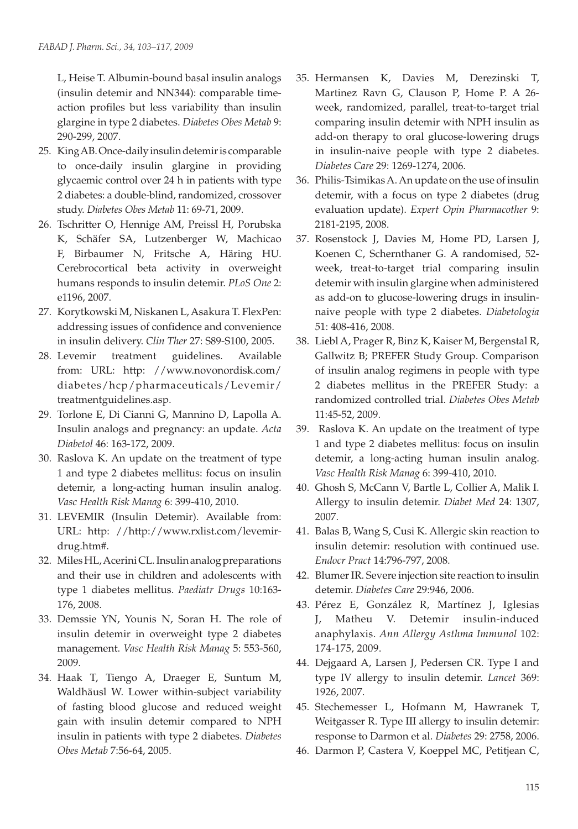L, Heise T. Albumin-bound basal insulin analogs (insulin detemir and NN344): comparable timeaction profiles but less variability than insulin glargine in type 2 diabetes. *Diabetes Obes Metab* 9: 290-299, 2007.

- 25. King AB. Once-daily insulin detemir is comparable to once-daily insulin glargine in providing glycaemic control over 24 h in patients with type 2 diabetes: a double-blind, randomized, crossover study. *Diabetes Obes Metab* 11: 69-71, 2009.
- 26. Tschritter O, Hennige AM, Preissl H, Porubska K, Schäfer SA, Lutzenberger W, Machicao F, Birbaumer N, Fritsche A, Häring HU. Cerebrocortical beta activity in overweight humans responds to insulin detemir. *PLoS One* 2: e1196, 2007.
- 27. Korytkowski M, Niskanen L, Asakura T. FlexPen: addressing issues of confidence and convenience in insulin delivery. *Clin Ther* 27: S89-S100, 2005.
- 28. Levemir treatment guidelines. Available from: URL: http: //www.novonordisk.com/ diabetes/hcp/pharmaceuticals/Levemir/ treatmentguidelines.asp.
- 29. Torlone E, Di Cianni G, Mannino D, Lapolla A. Insulin analogs and pregnancy: an update. *Acta Diabetol* 46: 163-172, 2009.
- 30. Raslova K. An update on the treatment of type 1 and type 2 diabetes mellitus: focus on insulin detemir, a long-acting human insulin analog. *Vasc Health Risk Manag* 6: 399-410, 2010.
- 31. LEVEMIR (Insulin Detemir). Available from: URL: http: //http://www.rxlist.com/levemirdrug.htm#.
- 32. Miles HL, Acerini CL. Insulin analog preparations and their use in children and adolescents with type 1 diabetes mellitus. *Paediatr Drugs* 10:163- 176, 2008.
- 33. Demssie YN, Younis N, Soran H. The role of insulin detemir in overweight type 2 diabetes management. *Vasc Health Risk Manag* 5: 553-560, 2009.
- 34. Haak T, Tiengo A, Draeger E, Suntum M, Waldhäusl W. Lower within-subject variability of fasting blood glucose and reduced weight gain with insulin detemir compared to NPH insulin in patients with type 2 diabetes. *Diabetes Obes Metab* 7:56-64, 2005.
- 35. Hermansen K, Davies M, Derezinski T, Martinez Ravn G, Clauson P, Home P. A 26 week, randomized, parallel, treat-to-target trial comparing insulin detemir with NPH insulin as add-on therapy to oral glucose-lowering drugs in insulin-naive people with type 2 diabetes. *Diabetes Care* 29: 1269-1274, 2006.
- 36. Philis-Tsimikas A. An update on the use of insulin detemir, with a focus on type 2 diabetes (drug evaluation update). *Expert Opin Pharmacother* 9: 2181-2195, 2008.
- 37. Rosenstock J, Davies M, Home PD, Larsen J, Koenen C, Schernthaner G. A randomised, 52 week, treat-to-target trial comparing insulin detemir with insulin glargine when administered as add-on to glucose-lowering drugs in insulinnaive people with type 2 diabetes. *Diabetologia* 51: 408-416, 2008.
- 38. Liebl A, Prager R, Binz K, Kaiser M, Bergenstal R, Gallwitz B; PREFER Study Group. Comparison of insulin analog regimens in people with type 2 diabetes mellitus in the PREFER Study: a randomized controlled trial. *Diabetes Obes Metab* 11:45-52, 2009.
- 39. Raslova K. An update on the treatment of type 1 and type 2 diabetes mellitus: focus on insulin detemir, a long-acting human insulin analog. *Vasc Health Risk Manag* 6: 399-410, 2010.
- 40. Ghosh S, McCann V, Bartle L, Collier A, Malik I. Allergy to insulin detemir. *Diabet Med* 24: 1307, 2007.
- 41. Balas B, Wang S, Cusi K. Allergic skin reaction to insulin detemir: resolution with continued use. *Endocr Pract* 14:796-797, 2008.
- 42. Blumer IR. Severe injection site reaction to insulin detemir. *Diabetes Care* 29:946, 2006.
- 43. Pérez E, González R, Martínez J, Iglesias J, Matheu V. Detemir insulin-induced anaphylaxis. *Ann Allergy Asthma Immunol* 102: 174-175, 2009.
- 44. Dejgaard A, Larsen J, Pedersen CR. Type I and type IV allergy to insulin detemir. *Lancet* 369: 1926, 2007.
- 45. Stechemesser L, Hofmann M, Hawranek T, Weitgasser R. Type III allergy to insulin detemir: response to Darmon et al. *Diabetes* 29: 2758, 2006.
- 46. Darmon P, Castera V, Koeppel MC, Petitjean C,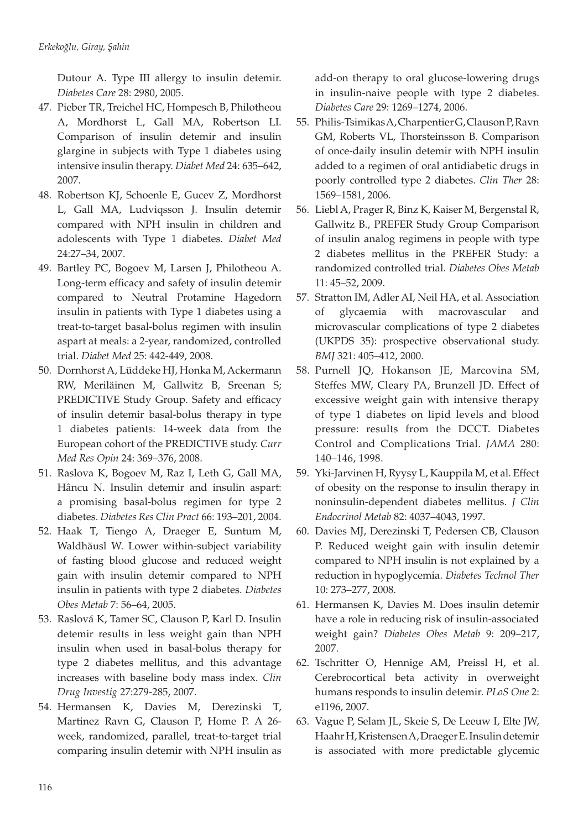Dutour A. Type III allergy to insulin detemir. *Diabetes Care* 28: 2980, 2005.

- 47. Pieber TR, Treichel HC, Hompesch B, Philotheou A, Mordhorst L, Gall MA, Robertson LI. Comparison of insulin detemir and insulin glargine in subjects with Type 1 diabetes using intensive insulin therapy. *Diabet Med* 24: 635–642, 2007.
- 48. Robertson KJ, Schoenle E, Gucev Z, Mordhorst L, Gall MA, Ludviqsson J. Insulin detemir compared with NPH insulin in children and adolescents with Type 1 diabetes. *Diabet Med*  24:27–34, 2007.
- 49. Bartley PC, Bogoev M, Larsen J, Philotheou A. Long-term efficacy and safety of insulin detemir compared to Neutral Protamine Hagedorn insulin in patients with Type 1 diabetes using a treat-to-target basal-bolus regimen with insulin aspart at meals: a 2-year, randomized, controlled trial. *Diabet Med* 25: 442-449, 2008.
- 50. Dornhorst A, Lüddeke HJ, Honka M, Ackermann RW, Meriläinen M, Gallwitz B, Sreenan S; PREDICTIVE Study Group. Safety and efficacy of insulin detemir basal-bolus therapy in type 1 diabetes patients: 14-week data from the European cohort of the PREDICTIVE study. *Curr Med Res Opin* 24: 369–376, 2008.
- 51. Raslova K, Bogoev M, Raz I, Leth G, Gall MA, Hâncu N. Insulin detemir and insulin aspart: a promising basal-bolus regimen for type 2 diabetes. *Diabetes Res Clin Pract* 66: 193–201, 2004.
- 52. Haak T, Tiengo A, Draeger E, Suntum M, Waldhäusl W. Lower within-subject variability of fasting blood glucose and reduced weight gain with insulin detemir compared to NPH insulin in patients with type 2 diabetes. *Diabetes Obes Metab* 7: 56–64, 2005.
- 53. Raslová K, Tamer SC, Clauson P, Karl D. Insulin detemir results in less weight gain than NPH insulin when used in basal-bolus therapy for type 2 diabetes mellitus, and this advantage increases with baseline body mass index. *Clin Drug Investig* 27:279-285, 2007.
- 54. Hermansen K, Davies M, Derezinski T, Martinez Ravn G, Clauson P, Home P. A 26 week, randomized, parallel, treat-to-target trial comparing insulin detemir with NPH insulin as

add-on therapy to oral glucose-lowering drugs in insulin-naive people with type 2 diabetes. *Diabetes Care* 29: 1269–1274, 2006.

- 55. Philis-Tsimikas A, Charpentier G, Clauson P, Ravn GM, Roberts VL, Thorsteinsson B. Comparison of once-daily insulin detemir with NPH insulin added to a regimen of oral antidiabetic drugs in poorly controlled type 2 diabetes. *Clin Ther* 28: 1569–1581, 2006.
- 56. Liebl A, Prager R, Binz K, Kaiser M, Bergenstal R, Gallwitz B., PREFER Study Group Comparison of insulin analog regimens in people with type 2 diabetes mellitus in the PREFER Study: a randomized controlled trial. *Diabetes Obes Metab*  11: 45–52, 2009.
- 57. Stratton IM, Adler AI, Neil HA, et al. Association of glycaemia with macrovascular and microvascular complications of type 2 diabetes (UKPDS 35): prospective observational study. *BMJ* 321: 405–412, 2000.
- 58. Purnell JQ, Hokanson JE, Marcovina SM, Steffes MW, Cleary PA, Brunzell JD. Effect of excessive weight gain with intensive therapy of type 1 diabetes on lipid levels and blood pressure: results from the DCCT. Diabetes Control and Complications Trial. *JAMA* 280: 140–146, 1998.
- 59. Yki-Jarvinen H, Ryysy L, Kauppila M, et al. Effect of obesity on the response to insulin therapy in noninsulin-dependent diabetes mellitus. *J Clin Endocrinol Metab* 82: 4037–4043, 1997.
- 60. Davies MJ, Derezinski T, Pedersen CB, Clauson P. Reduced weight gain with insulin detemir compared to NPH insulin is not explained by a reduction in hypoglycemia. *Diabetes Technol Ther*  10: 273–277, 2008.
- 61. Hermansen K, Davies M. Does insulin detemir have a role in reducing risk of insulin-associated weight gain? *Diabetes Obes Metab* 9: 209–217, 2007.
- 62. Tschritter O, Hennige AM, Preissl H, et al. Cerebrocortical beta activity in overweight humans responds to insulin detemir. *PLoS One* 2: e1196, 2007.
- 63. Vague P, Selam JL, Skeie S, De Leeuw I, Elte JW, Haahr H, Kristensen A, Draeger E. Insulin detemir is associated with more predictable glycemic